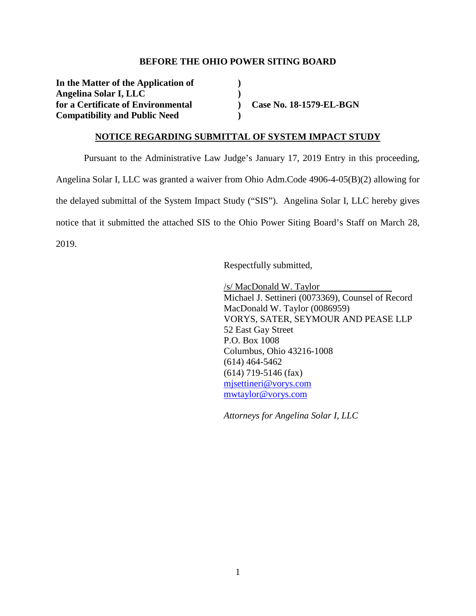#### **BEFORE THE OHIO POWER SITING BOARD**

**In the Matter of the Application of ) Angelina Solar I, LLC )**  for a Certificate of Environmental **and Case No. 18-1579-EL-BGN Compatibility and Public Need )** 

#### **NOTICE REGARDING SUBMITTAL OF SYSTEM IMPACT STUDY**

Pursuant to the Administrative Law Judge's January 17, 2019 Entry in this proceeding, Angelina Solar I, LLC was granted a waiver from Ohio Adm.Code 4906-4-05(B)(2) allowing for the delayed submittal of the System Impact Study ("SIS"). Angelina Solar I, LLC hereby gives notice that it submitted the attached SIS to the Ohio Power Siting Board's Staff on March 28, 2019.

Respectfully submitted,

/s/ MacDonald W. Taylor Michael J. Settineri (0073369), Counsel of Record MacDonald W. Taylor (0086959) VORYS, SATER, SEYMOUR AND PEASE LLP 52 East Gay Street P.O. Box 1008 Columbus, Ohio 43216-1008 (614) 464-5462 (614) 719-5146 (fax) mjsettineri@vorys.com mwtaylor@vorys.com

*Attorneys for Angelina Solar I, LLC*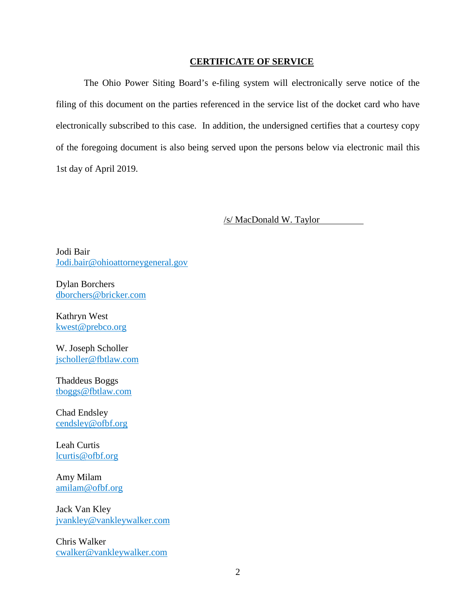#### **CERTIFICATE OF SERVICE**

The Ohio Power Siting Board's e-filing system will electronically serve notice of the filing of this document on the parties referenced in the service list of the docket card who have electronically subscribed to this case. In addition, the undersigned certifies that a courtesy copy of the foregoing document is also being served upon the persons below via electronic mail this 1st day of April 2019.

/s/ MacDonald W. Taylor

Jodi Bair Jodi.bair@ohioattorneygeneral.gov

Dylan Borchers dborchers@bricker.com

Kathryn West kwest@prebco.org

W. Joseph Scholler jscholler@fbtlaw.com

Thaddeus Boggs tboggs@fbtlaw.com

Chad Endsley cendsley@ofbf.org

Leah Curtis lcurtis@ofbf.org

Amy Milam amilam@ofbf.org

Jack Van Kley jvankley@vankleywalker.com

Chris Walker cwalker@vankleywalker.com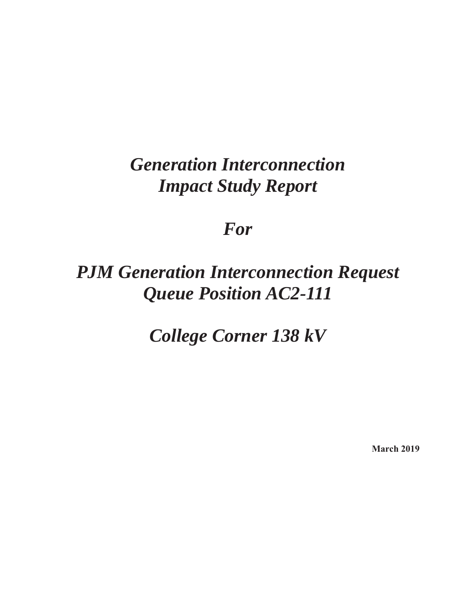# *Generation Interconnection Impact Study Report*

# *For*

# *PJM Generation Interconnection Request Queue Position AC2-111*

*College Corner 138 kV* 

**March 2019**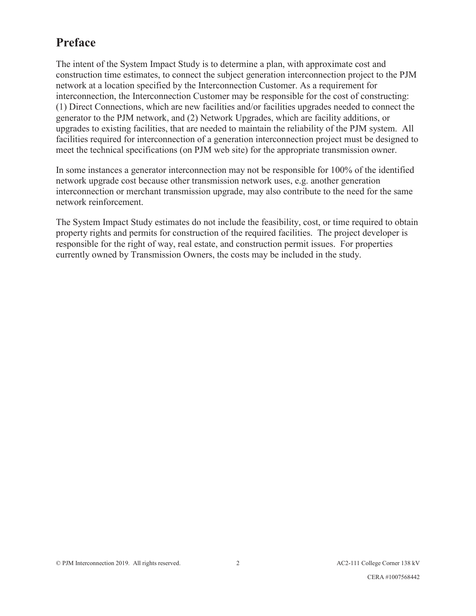# **Preface**

The intent of the System Impact Study is to determine a plan, with approximate cost and construction time estimates, to connect the subject generation interconnection project to the PJM network at a location specified by the Interconnection Customer. As a requirement for interconnection, the Interconnection Customer may be responsible for the cost of constructing: (1) Direct Connections, which are new facilities and/or facilities upgrades needed to connect the generator to the PJM network, and (2) Network Upgrades, which are facility additions, or upgrades to existing facilities, that are needed to maintain the reliability of the PJM system. All facilities required for interconnection of a generation interconnection project must be designed to meet the technical specifications (on PJM web site) for the appropriate transmission owner.

In some instances a generator interconnection may not be responsible for 100% of the identified network upgrade cost because other transmission network uses, e.g. another generation interconnection or merchant transmission upgrade, may also contribute to the need for the same network reinforcement.

The System Impact Study estimates do not include the feasibility, cost, or time required to obtain property rights and permits for construction of the required facilities. The project developer is responsible for the right of way, real estate, and construction permit issues. For properties currently owned by Transmission Owners, the costs may be included in the study.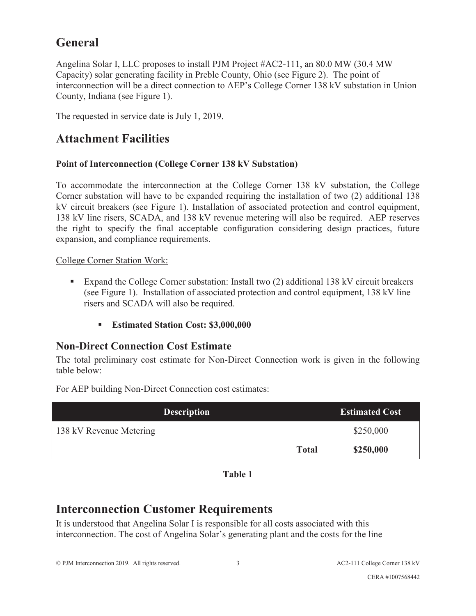# **General**

Angelina Solar I, LLC proposes to install PJM Project #AC2-111, an 80.0 MW (30.4 MW Capacity) solar generating facility in Preble County, Ohio (see Figure 2). The point of interconnection will be a direct connection to AEP's College Corner 138 kV substation in Union County, Indiana (see Figure 1).

The requested in service date is July 1, 2019.

# **Attachment Facilities**

#### **Point of Interconnection (College Corner 138 kV Substation)**

To accommodate the interconnection at the College Corner 138 kV substation, the College Corner substation will have to be expanded requiring the installation of two (2) additional 138 kV circuit breakers (see Figure 1). Installation of associated protection and control equipment, 138 kV line risers, SCADA, and 138 kV revenue metering will also be required. AEP reserves the right to specify the final acceptable configuration considering design practices, future expansion, and compliance requirements.

#### College Corner Station Work:

- Expand the College Corner substation: Install two (2) additional 138 kV circuit breakers (see Figure 1). Installation of associated protection and control equipment, 138 kV line risers and SCADA will also be required.
	- **Estimated Station Cost: \$3,000,000**

## **Non-Direct Connection Cost Estimate**

The total preliminary cost estimate for Non-Direct Connection work is given in the following table below:

For AEP building Non-Direct Connection cost estimates:

| <b>Description</b>      | <b>Estimated Cost</b> |
|-------------------------|-----------------------|
| 138 kV Revenue Metering | \$250,000             |
| <b>Total</b>            | \$250,000             |



# **Interconnection Customer Requirements**

It is understood that Angelina Solar I is responsible for all costs associated with this interconnection. The cost of Angelina Solar's generating plant and the costs for the line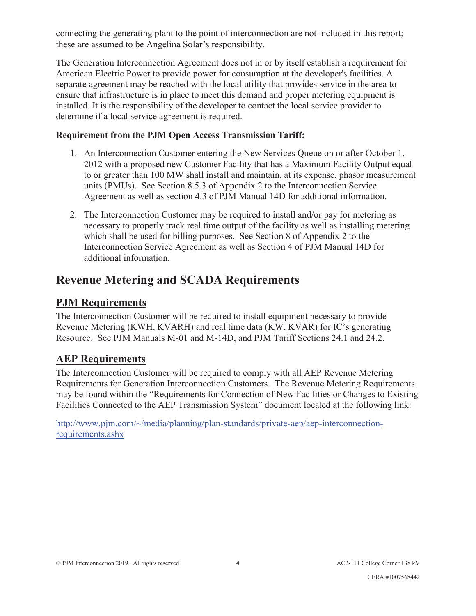connecting the generating plant to the point of interconnection are not included in this report; these are assumed to be Angelina Solar's responsibility.

The Generation Interconnection Agreement does not in or by itself establish a requirement for American Electric Power to provide power for consumption at the developer's facilities. A separate agreement may be reached with the local utility that provides service in the area to ensure that infrastructure is in place to meet this demand and proper metering equipment is installed. It is the responsibility of the developer to contact the local service provider to determine if a local service agreement is required.

#### **Requirement from the PJM Open Access Transmission Tariff:**

- 1. An Interconnection Customer entering the New Services Queue on or after October 1, 2012 with a proposed new Customer Facility that has a Maximum Facility Output equal to or greater than 100 MW shall install and maintain, at its expense, phasor measurement units (PMUs). See Section 8.5.3 of Appendix 2 to the Interconnection Service Agreement as well as section 4.3 of PJM Manual 14D for additional information.
- 2. The Interconnection Customer may be required to install and/or pay for metering as necessary to properly track real time output of the facility as well as installing metering which shall be used for billing purposes. See Section 8 of Appendix 2 to the Interconnection Service Agreement as well as Section 4 of PJM Manual 14D for additional information.

## **Revenue Metering and SCADA Requirements**

### **PJM Requirements**

The Interconnection Customer will be required to install equipment necessary to provide Revenue Metering (KWH, KVARH) and real time data (KW, KVAR) for IC's generating Resource. See PJM Manuals M-01 and M-14D, and PJM Tariff Sections 24.1 and 24.2.

### **AEP Requirements**

The Interconnection Customer will be required to comply with all AEP Revenue Metering Requirements for Generation Interconnection Customers. The Revenue Metering Requirements may be found within the "Requirements for Connection of New Facilities or Changes to Existing Facilities Connected to the AEP Transmission System" document located at the following link:

http://www.pjm.com/~/media/planning/plan-standards/private-aep/aep-interconnectionrequirements.ashx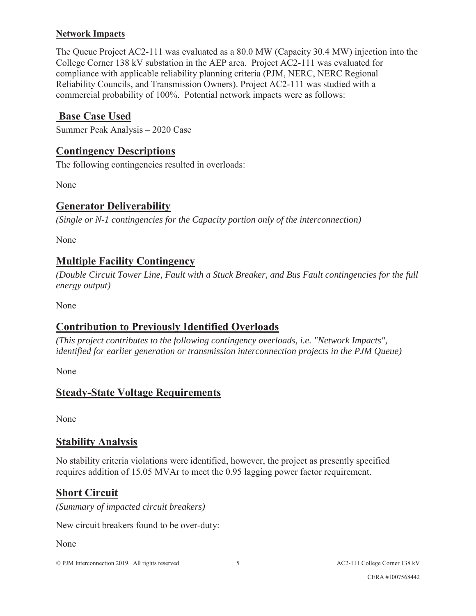#### **Network Impacts**

The Queue Project AC2-111 was evaluated as a 80.0 MW (Capacity 30.4 MW) injection into the College Corner 138 kV substation in the AEP area. Project AC2-111 was evaluated for compliance with applicable reliability planning criteria (PJM, NERC, NERC Regional Reliability Councils, and Transmission Owners). Project AC2-111 was studied with a commercial probability of 100%. Potential network impacts were as follows:

#### **Base Case Used**

Summer Peak Analysis – 2020 Case

#### **Contingency Descriptions**

The following contingencies resulted in overloads:

None

#### **Generator Deliverability**

*(Single or N-1 contingencies for the Capacity portion only of the interconnection)* 

None

#### **Multiple Facility Contingency**

*(Double Circuit Tower Line, Fault with a Stuck Breaker, and Bus Fault contingencies for the full energy output)* 

None

### **Contribution to Previously Identified Overloads**

*(This project contributes to the following contingency overloads, i.e. "Network Impacts", identified for earlier generation or transmission interconnection projects in the PJM Queue)* 

None

### **Steady-State Voltage Requirements**

None

### **Stability Analysis**

No stability criteria violations were identified, however, the project as presently specified requires addition of 15.05 MVAr to meet the 0.95 lagging power factor requirement.

### **Short Circuit**

*(Summary of impacted circuit breakers)* 

New circuit breakers found to be over-duty:

None

© PJM Interconnection 2019. All rights reserved. 5 5 AC2-111 College Corner 138 kV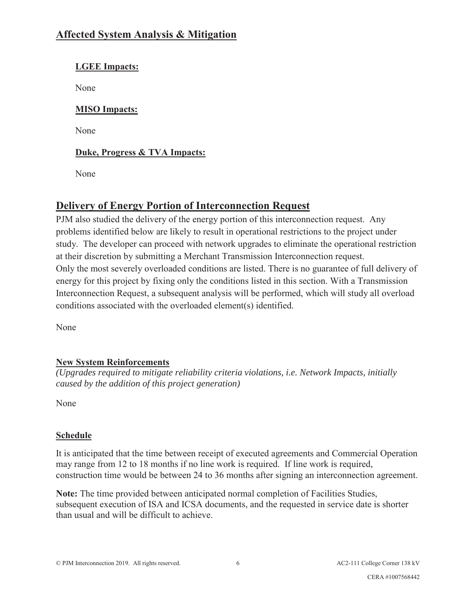## **Affected System Analysis & Mitigation**

#### **LGEE Impacts:**

None

#### **MISO Impacts:**

None

#### **Duke, Progress & TVA Impacts:**

None

## **Delivery of Energy Portion of Interconnection Request**

PJM also studied the delivery of the energy portion of this interconnection request. Any problems identified below are likely to result in operational restrictions to the project under study. The developer can proceed with network upgrades to eliminate the operational restriction at their discretion by submitting a Merchant Transmission Interconnection request. Only the most severely overloaded conditions are listed. There is no guarantee of full delivery of energy for this project by fixing only the conditions listed in this section. With a Transmission Interconnection Request, a subsequent analysis will be performed, which will study all overload conditions associated with the overloaded element(s) identified.

None

#### **New System Reinforcements**

*(Upgrades required to mitigate reliability criteria violations, i.e. Network Impacts, initially caused by the addition of this project generation)* 

None

#### **Schedule**

It is anticipated that the time between receipt of executed agreements and Commercial Operation may range from 12 to 18 months if no line work is required. If line work is required, construction time would be between 24 to 36 months after signing an interconnection agreement.

**Note:** The time provided between anticipated normal completion of Facilities Studies, subsequent execution of ISA and ICSA documents, and the requested in service date is shorter than usual and will be difficult to achieve.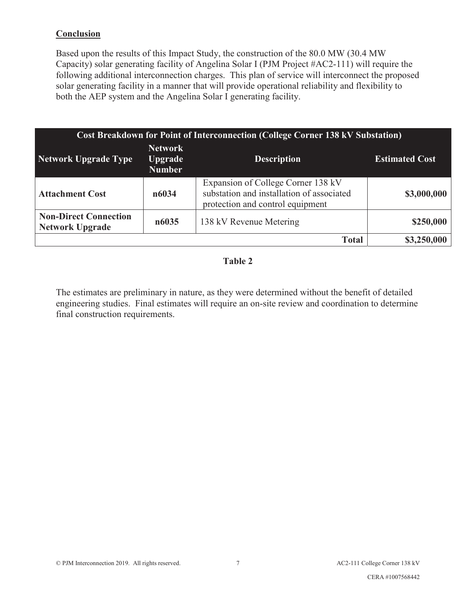#### **Conclusion**

Based upon the results of this Impact Study, the construction of the 80.0 MW (30.4 MW Capacity) solar generating facility of Angelina Solar I (PJM Project #AC2-111) will require the following additional interconnection charges. This plan of service will interconnect the proposed solar generating facility in a manner that will provide operational reliability and flexibility to both the AEP system and the Angelina Solar I generating facility.

| <b>Cost Breakdown for Point of Interconnection (College Corner 138 kV Substation)</b> |                                                   |                                                                                                                     |                       |
|---------------------------------------------------------------------------------------|---------------------------------------------------|---------------------------------------------------------------------------------------------------------------------|-----------------------|
| Network Upgrade Type                                                                  | <b>Network</b><br><b>Upgrade</b><br><b>Number</b> | <b>Description</b>                                                                                                  | <b>Estimated Cost</b> |
| <b>Attachment Cost</b>                                                                | n6034                                             | Expansion of College Corner 138 kV<br>substation and installation of associated<br>protection and control equipment | \$3,000,000           |
| <b>Non-Direct Connection</b><br><b>Network Upgrade</b>                                | n6035                                             | 138 kV Revenue Metering                                                                                             | \$250,000             |
|                                                                                       |                                                   | <b>Total</b>                                                                                                        | \$3,250,000           |

#### **Table 2**

The estimates are preliminary in nature, as they were determined without the benefit of detailed engineering studies. Final estimates will require an on-site review and coordination to determine final construction requirements.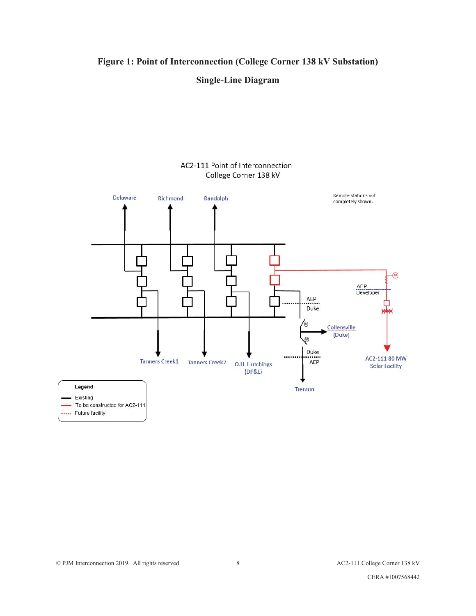#### **Figure 1: Point of Interconnection (College Corner 138 kV Substation)**



#### AC2-111 Point of Interconnection College Corner 138 kV



..... Future facility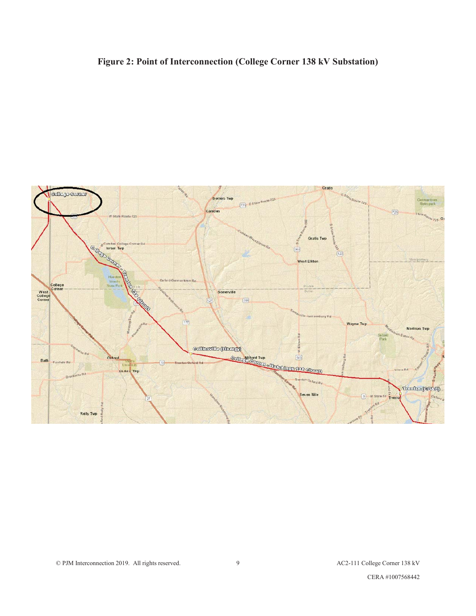## **Figure 2: Point of Interconnection (College Corner 138 kV Substation)**